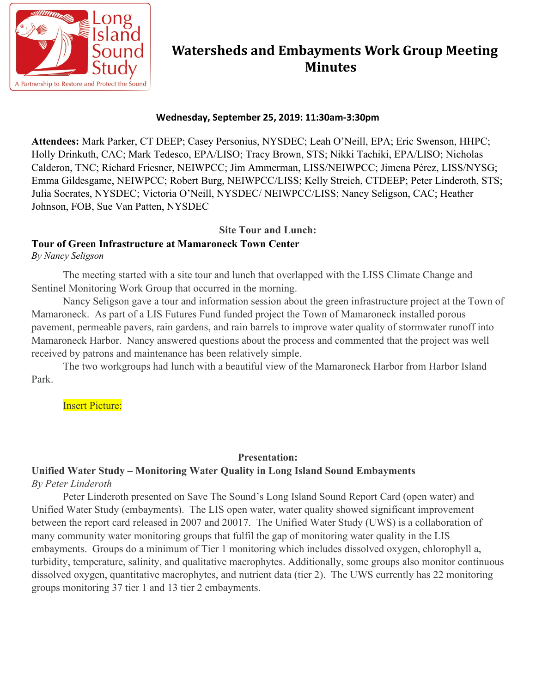

## **Watersheds and Embayments Work Group Meeting Minutes**

#### **Wednesday, September 25, 2019: 11:30am-3:30pm**

**Attendees:** Mark Parker, CT DEEP; Casey Personius, NYSDEC; Leah O'Neill, EPA; Eric Swenson, HHPC; Holly Drinkuth, CAC; Mark Tedesco, EPA/LISO; Tracy Brown, STS; Nikki Tachiki, EPA/LISO; Nicholas Calderon, TNC; Richard Friesner, NEIWPCC; Jim Ammerman, LISS/NEIWPCC; Jimena Pérez, LISS/NYSG; Emma Gildesgame, NEIWPCC; Robert Burg, NEIWPCC/LISS; Kelly Streich, CTDEEP; Peter Linderoth, STS; Julia Socrates, NYSDEC; Victoria O'Neill, NYSDEC/ NEIWPCC/LISS; Nancy Seligson, CAC; Heather Johnson, FOB, Sue Van Patten, NYSDEC

### **Site Tour and Lunch:**

### **Tour of Green Infrastructure at Mamaroneck Town Center**

*By Nancy Seligson*

The meeting started with a site tour and lunch that overlapped with the LISS Climate Change and Sentinel Monitoring Work Group that occurred in the morning.

Nancy Seligson gave a tour and information session about the green infrastructure project at the Town of Mamaroneck. As part of a LIS Futures Fund funded project the Town of Mamaroneck installed porous pavement, permeable pavers, rain gardens, and rain barrels to improve water quality of stormwater runoff into Mamaroneck Harbor. Nancy answered questions about the process and commented that the project was well received by patrons and maintenance has been relatively simple.

The two workgroups had lunch with a beautiful view of the Mamaroneck Harbor from Harbor Island Park.

**Insert Picture:** 

### **Presentation:**

### **Unified Water Study – Monitoring Water Quality in Long Island Sound Embayments**  *By Peter Linderoth*

Peter Linderoth presented on Save The Sound's Long Island Sound Report Card (open water) and Unified Water Study (embayments). The LIS open water, water quality showed significant improvement between the report card released in 2007 and 20017. The Unified Water Study (UWS) is a collaboration of many community water monitoring groups that fulfil the gap of monitoring water quality in the LIS embayments. Groups do a minimum of Tier 1 monitoring which includes dissolved oxygen, chlorophyll a, turbidity, temperature, salinity, and qualitative macrophytes. Additionally, some groups also monitor continuous dissolved oxygen, quantitative macrophytes, and nutrient data (tier 2). The UWS currently has 22 monitoring groups monitoring 37 tier 1 and 13 tier 2 embayments.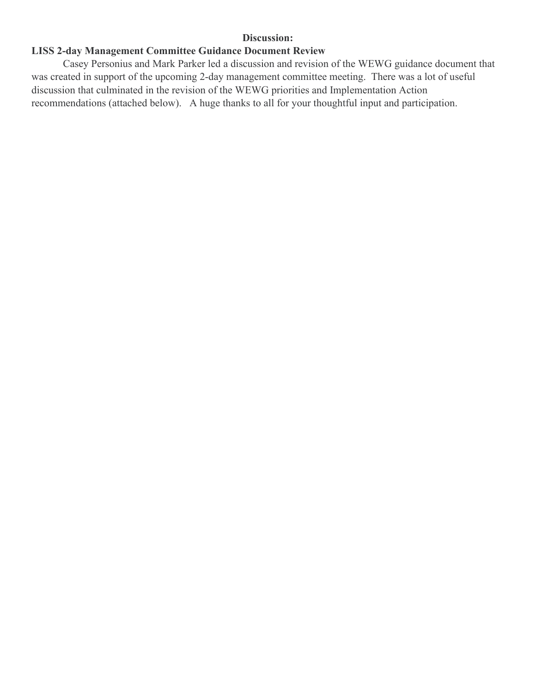#### **Discussion:**

## **LISS 2-day Management Committee Guidance Document Review**

Casey Personius and Mark Parker led a discussion and revision of the WEWG guidance document that was created in support of the upcoming 2-day management committee meeting. There was a lot of useful discussion that culminated in the revision of the WEWG priorities and Implementation Action recommendations (attached below). A huge thanks to all for your thoughtful input and participation.